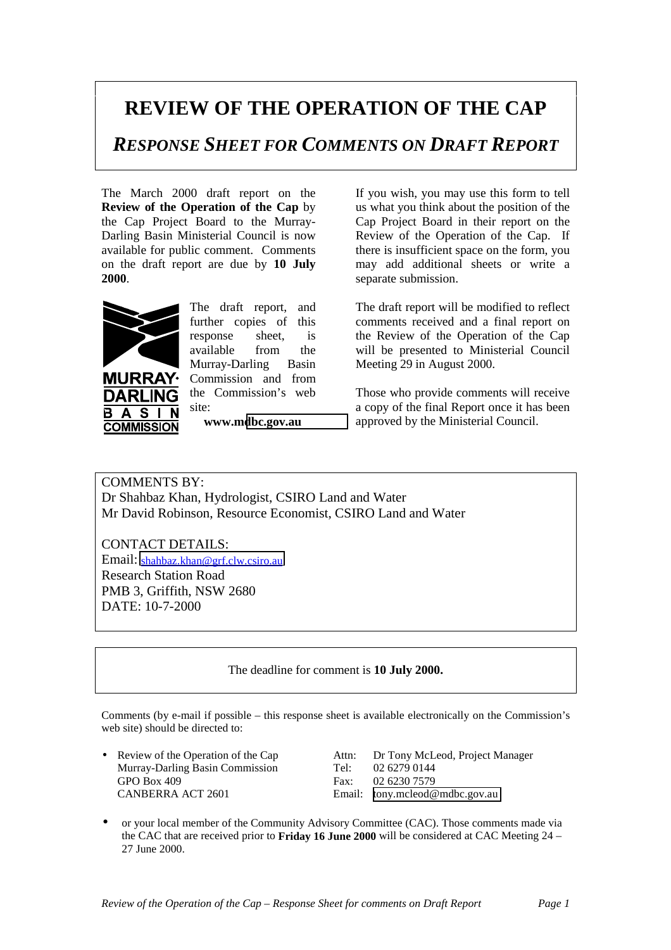## **REVIEW OF THE OPERATION OF THE CAP**

*RESPONSE SHEET FOR COMMENTS ON DRAFT REPORT*

The March 2000 draft report on the **Review of the Operation of the Cap** by the Cap Project Board to the Murray-Darling Basin Ministerial Council is now available for public comment. Comments on the draft report are due by **10 July 2000**.



**URRAY DARLING**  $\overline{\mathbf{s}}$  $\mathbf{A}$ В

**COMMISSION** 

The draft report, and further copies of this response sheet, is available from the Murray-Darling Basin Commission and from the Commission's web site:

**www.m[dbc.gov.au](http://www.mdbc.gov.au/)**

If you wish, you may use this form to tell us what you think about the position of the Cap Project Board in their report on the Review of the Operation of the Cap. If there is insufficient space on the form, you may add additional sheets or write a separate submission.

The draft report will be modified to reflect comments received and a final report on the Review of the Operation of the Cap will be presented to Ministerial Council Meeting 29 in August 2000.

Those who provide comments will receive a copy of the final Report once it has been approved by the Ministerial Council.

COMMENTS BY: Dr Shahbaz Khan, Hydrologist, CSIRO Land and Water Mr David Robinson, Resource Economist, CSIRO Land and Water

CONTACT DETAILS: Email: [shahbaz.khan@grf.clw.csiro.au](mailto:shahbaz.khan@grf.clw.csiro.au) Research Station Road PMB 3, Griffith, NSW 2680 DATE: 10-7-2000

The deadline for comment is **10 July 2000.**

Comments (by e-mail if possible – this response sheet is available electronically on the Commission's web site) should be directed to:

Murray-Darling Basin Commission Tel: 02 6279 0144 GPO Box 409<br>
CANBERRA ACT 2601 Fax: 02 6230 7579<br>
Email: tony.mcleod@

• Review of the Operation of the Cap Attn: Dr Tony McLeod, Project Manager Murray-Darling Basin Commission Tel: 02.6279.0144 Email: [tony.mcleod@mdbc.gov.au](mailto:tony.mcleod@mdbc.gov.au)

• or your local member of the Community Advisory Committee (CAC). Those comments made via the CAC that are received prior to **Friday 16 June 2000** will be considered at CAC Meeting 24 – 27 June 2000.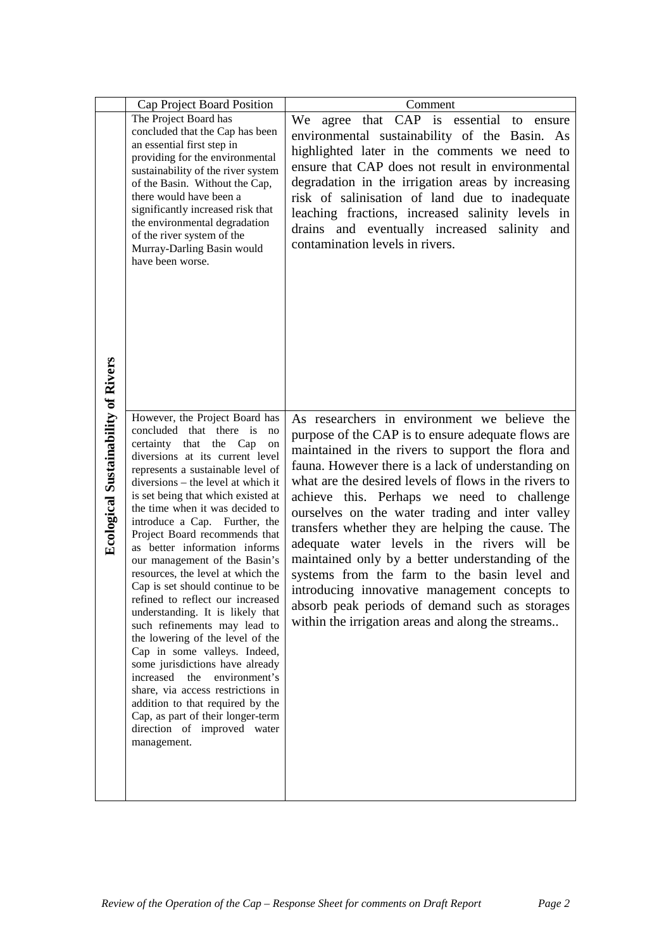| Cap Project Board Position                                                                                                                                                                                                                                                                                                                                                                                                                                                                                                                                                                                                                                                                                                                                                                                                                                                                                                      | Comment                                                                                                                                                                                                                                                                                                                                                                                                                                                                                                                                                                                                                                                                                                                                 |
|---------------------------------------------------------------------------------------------------------------------------------------------------------------------------------------------------------------------------------------------------------------------------------------------------------------------------------------------------------------------------------------------------------------------------------------------------------------------------------------------------------------------------------------------------------------------------------------------------------------------------------------------------------------------------------------------------------------------------------------------------------------------------------------------------------------------------------------------------------------------------------------------------------------------------------|-----------------------------------------------------------------------------------------------------------------------------------------------------------------------------------------------------------------------------------------------------------------------------------------------------------------------------------------------------------------------------------------------------------------------------------------------------------------------------------------------------------------------------------------------------------------------------------------------------------------------------------------------------------------------------------------------------------------------------------------|
| The Project Board has                                                                                                                                                                                                                                                                                                                                                                                                                                                                                                                                                                                                                                                                                                                                                                                                                                                                                                           | We agree that CAP is essential to ensure                                                                                                                                                                                                                                                                                                                                                                                                                                                                                                                                                                                                                                                                                                |
| an essential first step in<br>providing for the environmental<br>sustainability of the river system<br>of the Basin. Without the Cap,<br>there would have been a<br>significantly increased risk that<br>the environmental degradation<br>of the river system of the<br>Murray-Darling Basin would<br>have been worse.                                                                                                                                                                                                                                                                                                                                                                                                                                                                                                                                                                                                          | environmental sustainability of the Basin. As<br>highlighted later in the comments we need to<br>ensure that CAP does not result in environmental<br>degradation in the irrigation areas by increasing<br>risk of salinisation of land due to inadequate<br>leaching fractions, increased salinity levels in<br>drains and eventually increased salinity and<br>contamination levels in rivers.                                                                                                                                                                                                                                                                                                                                         |
| However, the Project Board has<br>concluded that there is<br>$\overline{p}$<br>certainty that the Cap<br>on<br>diversions at its current level<br>represents a sustainable level of<br>diversions – the level at which it<br>is set being that which existed at<br>the time when it was decided to<br>introduce a Cap. Further, the<br>Project Board recommends that<br>as better information informs<br>our management of the Basin's<br>resources, the level at which the<br>Cap is set should continue to be<br>refined to reflect our increased<br>understanding. It is likely that<br>such refinements may lead to<br>the lowering of the level of the<br>Cap in some valleys. Indeed,<br>some jurisdictions have already<br>increased<br>the<br>environment's<br>share, via access restrictions in<br>addition to that required by the<br>Cap, as part of their longer-term<br>direction of improved water<br>management. | As researchers in environment we believe the<br>purpose of the CAP is to ensure adequate flows are<br>maintained in the rivers to support the flora and<br>fauna. However there is a lack of understanding on<br>what are the desired levels of flows in the rivers to<br>achieve this. Perhaps we need to challenge<br>ourselves on the water trading and inter valley<br>transfers whether they are helping the cause. The<br>adequate water levels in the rivers will be<br>maintained only by a better understanding of the<br>systems from the farm to the basin level and<br>introducing innovative management concepts to<br>absorb peak periods of demand such as storages<br>within the irrigation areas and along the streams |
|                                                                                                                                                                                                                                                                                                                                                                                                                                                                                                                                                                                                                                                                                                                                                                                                                                                                                                                                 | concluded that the Cap has been                                                                                                                                                                                                                                                                                                                                                                                                                                                                                                                                                                                                                                                                                                         |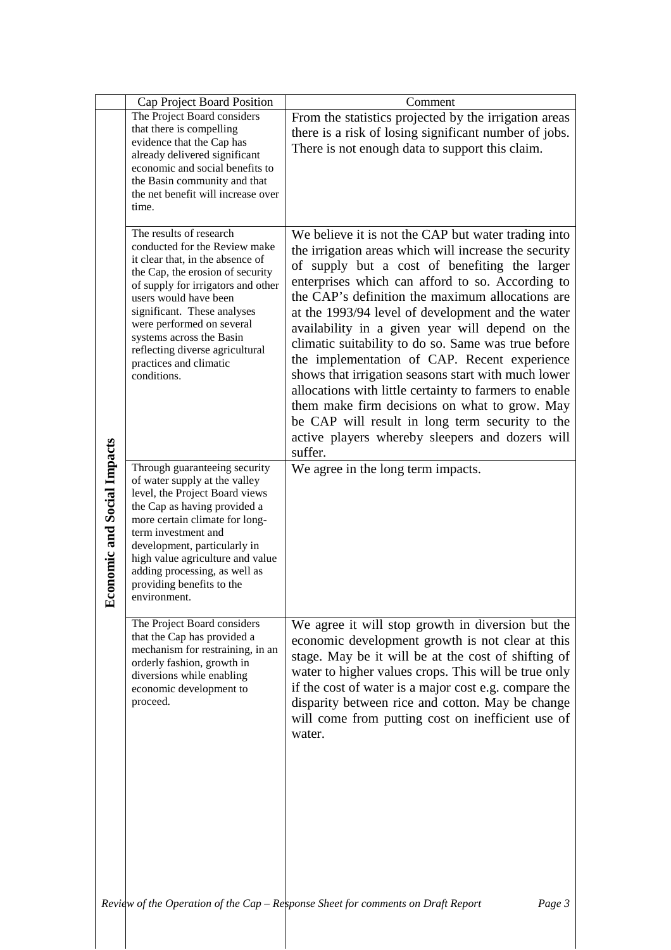|                                 | Cap Project Board Position                                                                                                                                                                                                                                                                                                                                          | Comment                                                                                                                                                                                                                                                                                                                                                                                                                                                                                                                                                                                                                                                                                                                                                                 |
|---------------------------------|---------------------------------------------------------------------------------------------------------------------------------------------------------------------------------------------------------------------------------------------------------------------------------------------------------------------------------------------------------------------|-------------------------------------------------------------------------------------------------------------------------------------------------------------------------------------------------------------------------------------------------------------------------------------------------------------------------------------------------------------------------------------------------------------------------------------------------------------------------------------------------------------------------------------------------------------------------------------------------------------------------------------------------------------------------------------------------------------------------------------------------------------------------|
|                                 | The Project Board considers<br>that there is compelling<br>evidence that the Cap has<br>already delivered significant<br>economic and social benefits to<br>the Basin community and that<br>the net benefit will increase over<br>time.                                                                                                                             | From the statistics projected by the irrigation areas<br>there is a risk of losing significant number of jobs.<br>There is not enough data to support this claim.                                                                                                                                                                                                                                                                                                                                                                                                                                                                                                                                                                                                       |
|                                 | The results of research<br>conducted for the Review make<br>it clear that, in the absence of<br>the Cap, the erosion of security<br>of supply for irrigators and other<br>users would have been<br>significant. These analyses<br>were performed on several<br>systems across the Basin<br>reflecting diverse agricultural<br>practices and climatic<br>conditions. | We believe it is not the CAP but water trading into<br>the irrigation areas which will increase the security<br>of supply but a cost of benefiting the larger<br>enterprises which can afford to so. According to<br>the CAP's definition the maximum allocations are<br>at the 1993/94 level of development and the water<br>availability in a given year will depend on the<br>climatic suitability to do so. Same was true before<br>the implementation of CAP. Recent experience<br>shows that irrigation seasons start with much lower<br>allocations with little certainty to farmers to enable<br>them make firm decisions on what to grow. May<br>be CAP will result in long term security to the<br>active players whereby sleepers and dozers will<br>suffer. |
| conomic and Social Impacts<br>囯 | Through guaranteeing security<br>of water supply at the valley<br>level, the Project Board views<br>the Cap as having provided a<br>more certain climate for long-<br>term investment and<br>development, particularly in<br>high value agriculture and value<br>adding processing, as well as<br>providing benefits to the<br>environment.                         | We agree in the long term impacts.                                                                                                                                                                                                                                                                                                                                                                                                                                                                                                                                                                                                                                                                                                                                      |
|                                 | The Project Board considers<br>that the Cap has provided a<br>mechanism for restraining, in an<br>orderly fashion, growth in<br>diversions while enabling<br>economic development to<br>proceed.                                                                                                                                                                    | We agree it will stop growth in diversion but the<br>economic development growth is not clear at this<br>stage. May be it will be at the cost of shifting of<br>water to higher values crops. This will be true only<br>if the cost of water is a major cost e.g. compare the<br>disparity between rice and cotton. May be change<br>will come from putting cost on inefficient use of<br>water.                                                                                                                                                                                                                                                                                                                                                                        |
|                                 |                                                                                                                                                                                                                                                                                                                                                                     | Review of the Operation of the Cap $-$ Response Sheet for comments on Draft Report<br>Page 3                                                                                                                                                                                                                                                                                                                                                                                                                                                                                                                                                                                                                                                                            |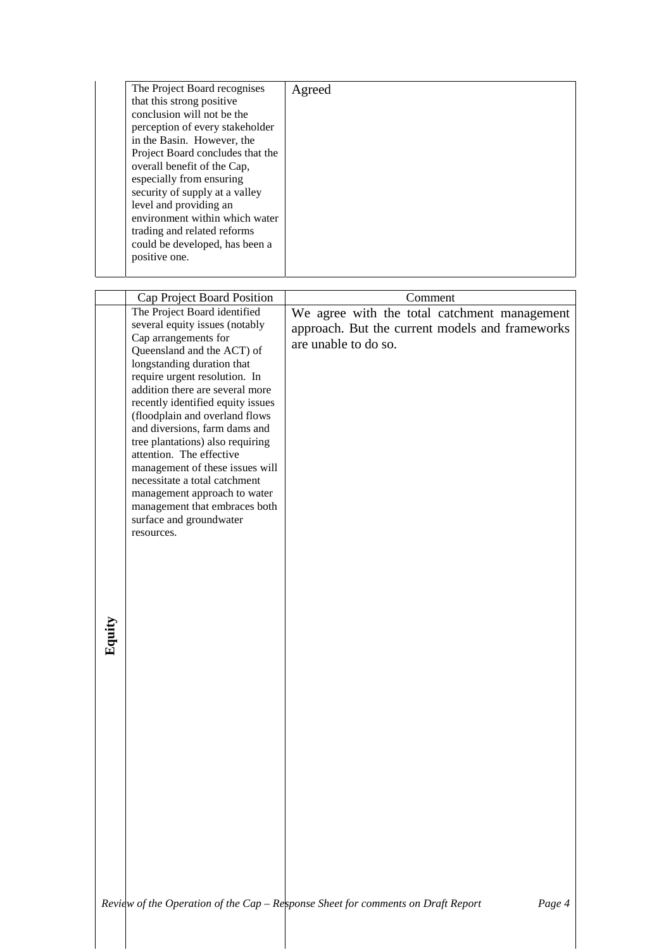|        | The Project Board recognises<br>that this strong positive<br>conclusion will not be the<br>perception of every stakeholder<br>in the Basin. However, the<br>Project Board concludes that the<br>overall benefit of the Cap,<br>especially from ensuring<br>security of supply at a valley<br>level and providing an<br>environment within which water                                                                                                                                                                                                                                                      | Agreed                                                                                                                             |
|--------|------------------------------------------------------------------------------------------------------------------------------------------------------------------------------------------------------------------------------------------------------------------------------------------------------------------------------------------------------------------------------------------------------------------------------------------------------------------------------------------------------------------------------------------------------------------------------------------------------------|------------------------------------------------------------------------------------------------------------------------------------|
|        | trading and related reforms<br>could be developed, has been a<br>positive one.                                                                                                                                                                                                                                                                                                                                                                                                                                                                                                                             |                                                                                                                                    |
|        |                                                                                                                                                                                                                                                                                                                                                                                                                                                                                                                                                                                                            |                                                                                                                                    |
| Equity | Cap Project Board Position<br>The Project Board identified<br>several equity issues (notably<br>Cap arrangements for<br>Queensland and the ACT) of<br>longstanding duration that<br>require urgent resolution. In<br>addition there are several more<br>recently identified equity issues<br>(floodplain and overland flows<br>and diversions, farm dams and<br>tree plantations) also requiring<br>attention. The effective<br>management of these issues will<br>necessitate a total catchment<br>management approach to water<br>management that embraces both<br>surface and groundwater<br>resources. | Comment<br>We agree with the total catchment management<br>approach. But the current models and frameworks<br>are unable to do so. |
|        |                                                                                                                                                                                                                                                                                                                                                                                                                                                                                                                                                                                                            | Review of the Operation of the Cap - Response Sheet for comments on Draft Report<br>Page 4                                         |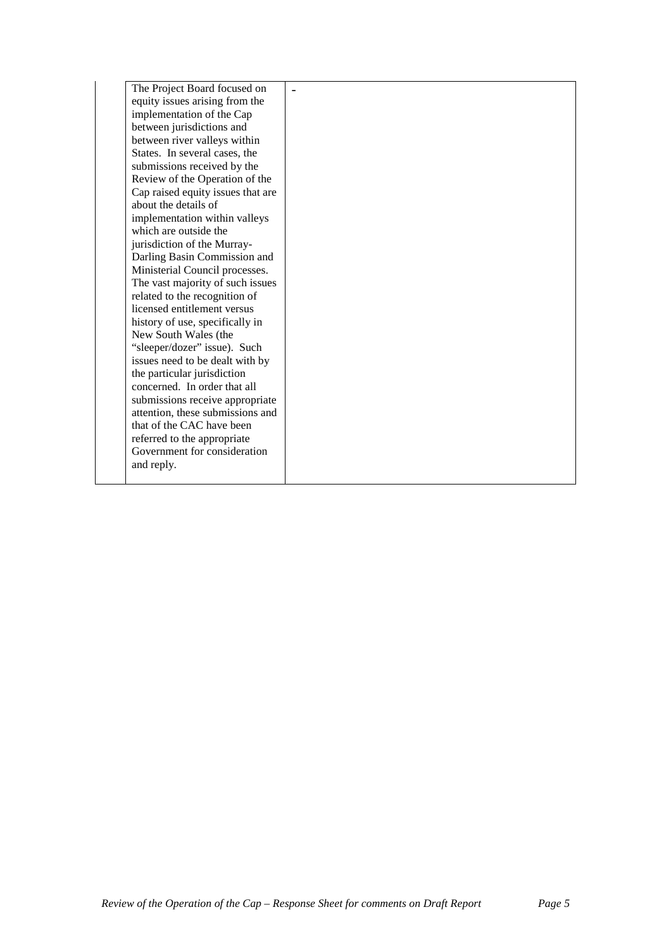| The Project Board focused on      |  |
|-----------------------------------|--|
| equity issues arising from the    |  |
| implementation of the Cap         |  |
| between jurisdictions and         |  |
| between river valleys within      |  |
| States. In several cases, the     |  |
| submissions received by the       |  |
| Review of the Operation of the    |  |
| Cap raised equity issues that are |  |
| about the details of              |  |
| implementation within valleys     |  |
| which are outside the             |  |
| jurisdiction of the Murray-       |  |
| Darling Basin Commission and      |  |
| Ministerial Council processes.    |  |
| The vast majority of such issues  |  |
| related to the recognition of     |  |
| licensed entitlement versus       |  |
| history of use, specifically in   |  |
| New South Wales (the              |  |
| "sleeper/dozer" issue). Such      |  |
| issues need to be dealt with by   |  |
| the particular jurisdiction       |  |
| concerned. In order that all      |  |
| submissions receive appropriate   |  |
| attention, these submissions and  |  |
| that of the CAC have been         |  |
| referred to the appropriate       |  |
| Government for consideration      |  |
| and reply.                        |  |
|                                   |  |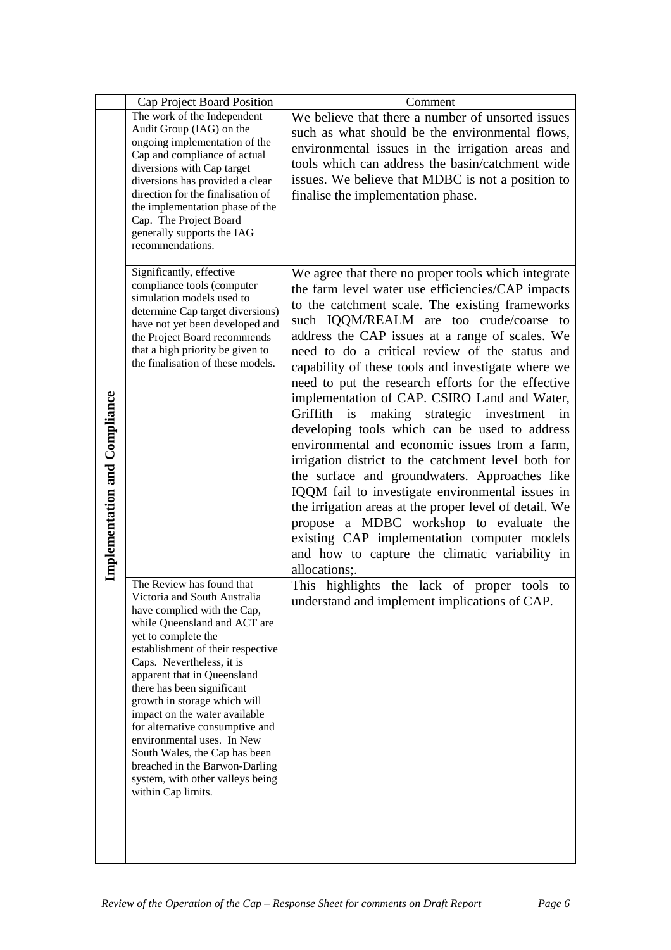|                               | Cap Project Board Position                                                                                                                                                                                                                                                                                                                                                                                                                                                                                                                    | Comment                                                                                                                                                                                                                                                                                                                                                                                                                                                                                                                                                                                                                                                                                                                                                                                                                                                                                                                                                                                                           |
|-------------------------------|-----------------------------------------------------------------------------------------------------------------------------------------------------------------------------------------------------------------------------------------------------------------------------------------------------------------------------------------------------------------------------------------------------------------------------------------------------------------------------------------------------------------------------------------------|-------------------------------------------------------------------------------------------------------------------------------------------------------------------------------------------------------------------------------------------------------------------------------------------------------------------------------------------------------------------------------------------------------------------------------------------------------------------------------------------------------------------------------------------------------------------------------------------------------------------------------------------------------------------------------------------------------------------------------------------------------------------------------------------------------------------------------------------------------------------------------------------------------------------------------------------------------------------------------------------------------------------|
| Implementation and Compliance | The work of the Independent<br>Audit Group (IAG) on the<br>ongoing implementation of the<br>Cap and compliance of actual<br>diversions with Cap target<br>diversions has provided a clear<br>direction for the finalisation of<br>the implementation phase of the<br>Cap. The Project Board<br>generally supports the IAG<br>recommendations.                                                                                                                                                                                                 | We believe that there a number of unsorted issues<br>such as what should be the environmental flows,<br>environmental issues in the irrigation areas and<br>tools which can address the basin/catchment wide<br>issues. We believe that MDBC is not a position to<br>finalise the implementation phase.                                                                                                                                                                                                                                                                                                                                                                                                                                                                                                                                                                                                                                                                                                           |
|                               | Significantly, effective<br>compliance tools (computer<br>simulation models used to<br>determine Cap target diversions)<br>have not yet been developed and<br>the Project Board recommends<br>that a high priority be given to<br>the finalisation of these models.                                                                                                                                                                                                                                                                           | We agree that there no proper tools which integrate<br>the farm level water use efficiencies/CAP impacts<br>to the catchment scale. The existing frameworks<br>such IQQM/REALM are too crude/coarse to<br>address the CAP issues at a range of scales. We<br>need to do a critical review of the status and<br>capability of these tools and investigate where we<br>need to put the research efforts for the effective<br>implementation of CAP. CSIRO Land and Water,<br>Griffith is<br>making strategic investment<br>in<br>developing tools which can be used to address<br>environmental and economic issues from a farm,<br>irrigation district to the catchment level both for<br>the surface and groundwaters. Approaches like<br>IQQM fail to investigate environmental issues in<br>the irrigation areas at the proper level of detail. We<br>propose a MDBC workshop to evaluate the<br>existing CAP implementation computer models<br>and how to capture the climatic variability in<br>allocations;. |
|                               | The Review has found that<br>Victoria and South Australia<br>have complied with the Cap,<br>while Queensland and ACT are<br>yet to complete the<br>establishment of their respective<br>Caps. Nevertheless, it is<br>apparent that in Queensland<br>there has been significant<br>growth in storage which will<br>impact on the water available<br>for alternative consumptive and<br>environmental uses. In New<br>South Wales, the Cap has been<br>breached in the Barwon-Darling<br>system, with other valleys being<br>within Cap limits. | This highlights the lack of proper tools to<br>understand and implement implications of CAP.                                                                                                                                                                                                                                                                                                                                                                                                                                                                                                                                                                                                                                                                                                                                                                                                                                                                                                                      |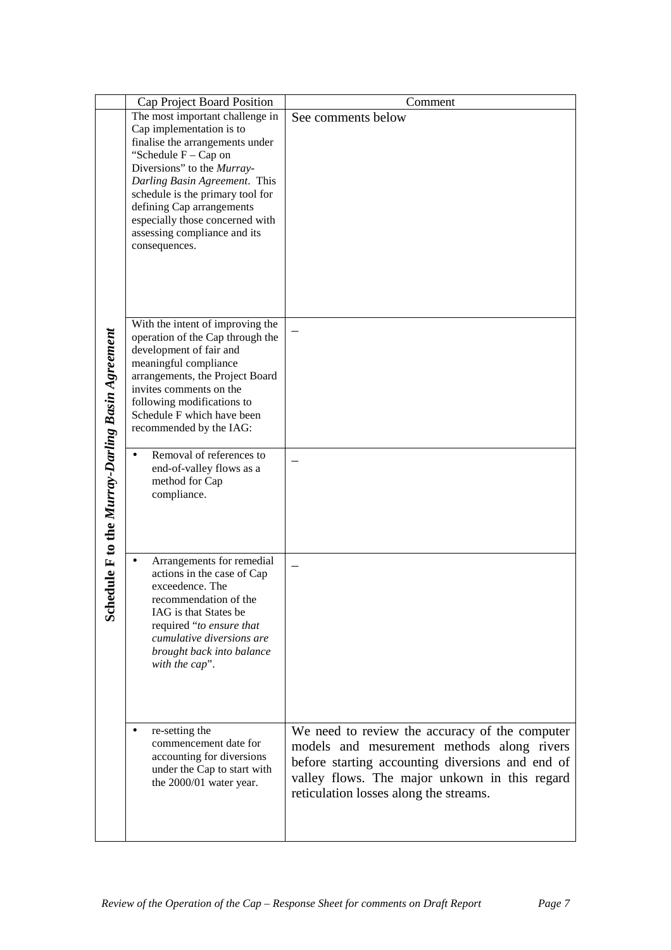|                                              | Cap Project Board Position                                                                                                                                                                                                                                                                                                                                             | Comment                                                                                                                                     |
|----------------------------------------------|------------------------------------------------------------------------------------------------------------------------------------------------------------------------------------------------------------------------------------------------------------------------------------------------------------------------------------------------------------------------|---------------------------------------------------------------------------------------------------------------------------------------------|
|                                              | The most important challenge in<br>Cap implementation is to<br>finalise the arrangements under<br>"Schedule $F - Cap$ on<br>Diversions" to the Murray-<br>Darling Basin Agreement. This<br>schedule is the primary tool for<br>defining Cap arrangements<br>especially those concerned with<br>assessing compliance and its<br>consequences.                           | See comments below                                                                                                                          |
| dule F to the Murray-Darling Basin Agreement | With the intent of improving the<br>operation of the Cap through the<br>development of fair and<br>meaningful compliance<br>arrangements, the Project Board<br>invites comments on the<br>following modifications to<br>Schedule F which have been<br>recommended by the IAG:<br>Removal of references to<br>end-of-valley flows as a<br>method for Cap<br>compliance. |                                                                                                                                             |
| Sch                                          | Arrangements for remedial<br>$\bullet$<br>actions in the case of Cap<br>exceedence. The<br>recommendation of the<br>IAG is that States be<br>required "to ensure that<br>cumulative diversions are<br>brought back into balance<br>with the cap".<br>re-setting the<br>commencement date for                                                                           | We need to review the accuracy of the computer<br>models and mesurement methods along rivers                                                |
|                                              | accounting for diversions<br>under the Cap to start with<br>the 2000/01 water year.                                                                                                                                                                                                                                                                                    | before starting accounting diversions and end of<br>valley flows. The major unkown in this regard<br>reticulation losses along the streams. |